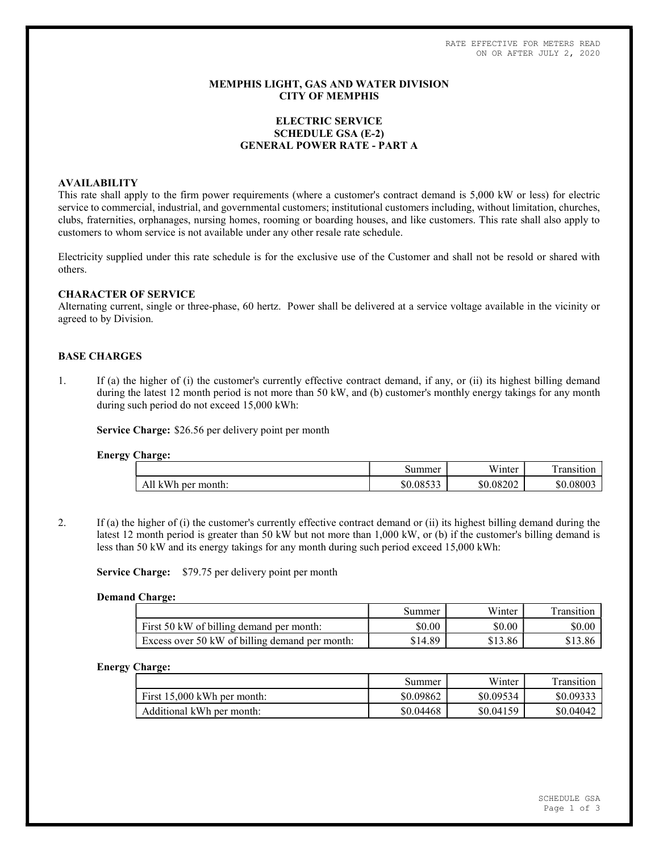RATE EFFECTIVE FOR METERS READ ON OR AFTER JULY 2, 2020

### MEMPHIS LIGHT, GAS AND WATER DIVISION CITY OF MEMPHIS

# ELECTRIC SERVICE SCHEDULE GSA (E-2) GENERAL POWER RATE - PART A

### AVAILABILITY

This rate shall apply to the firm power requirements (where a customer's contract demand is 5,000 kW or less) for electric service to commercial, industrial, and governmental customers; institutional customers including, without limitation, churches, clubs, fraternities, orphanages, nursing homes, rooming or boarding houses, and like customers. This rate shall also apply to customers to whom service is not available under any other resale rate schedule.

Electricity supplied under this rate schedule is for the exclusive use of the Customer and shall not be resold or shared with others.

### CHARACTER OF SERVICE

Alternating current, single or three-phase, 60 hertz. Power shall be delivered at a service voltage available in the vicinity or agreed to by Division.

### BASE CHARGES

1. If (a) the higher of (i) the customer's currently effective contract demand, if any, or (ii) its highest billing demand during the latest 12 month period is not more than 50 kW, and (b) customer's monthly energy takings for any month during such period do not exceed 15,000 kWh:

Service Charge: \$26.56 per delivery point per month

#### Energy Charge:

|                             | summer    | T T T<br>'inter<br>w | -<br>rane <sub>11</sub><br>$\sim$ |
|-----------------------------|-----------|----------------------|-----------------------------------|
| month:<br>ner<br>w<br><br>v | \$0.08533 | \$0.08202            | \$0.08003                         |

2. If (a) the higher of (i) the customer's currently effective contract demand or (ii) its highest billing demand during the latest 12 month period is greater than 50 kW but not more than 1,000 kW, or (b) if the customer's billing demand is less than 50 kW and its energy takings for any month during such period exceed 15,000 kWh:

Service Charge: \$79.75 per delivery point per month

#### Demand Charge:

|                                                | Summer  | Winter  | ransition |
|------------------------------------------------|---------|---------|-----------|
| First 50 kW of billing demand per month:       | \$0.00  | \$0.00  | \$0.00    |
| Excess over 50 kW of billing demand per month: | \$14.89 | \$13.86 | \$13.86   |

#### Energy Charge:

|                               | Summer    | Winter    | Transition |
|-------------------------------|-----------|-----------|------------|
| First $15,000$ kWh per month: | \$0.09862 | \$0.09534 | \$0.09333  |
| Additional kWh per month:     | \$0.04468 | \$0.04159 | \$0.04042  |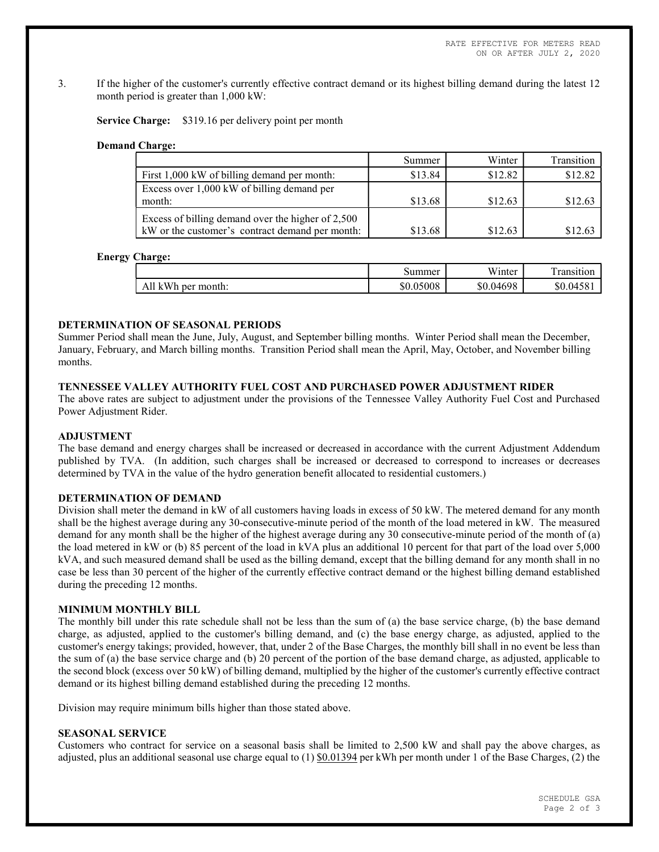3. If the higher of the customer's currently effective contract demand or its highest billing demand during the latest 12 month period is greater than 1,000 kW:

Service Charge: \$319.16 per delivery point per month

#### Demand Charge:

|                                                   | Summer  | Winter  | Transition |
|---------------------------------------------------|---------|---------|------------|
| First 1,000 kW of billing demand per month:       | \$13.84 | \$12.82 | \$12.82    |
| Excess over 1,000 kW of billing demand per        |         |         |            |
| month:                                            | \$13.68 | \$12.63 | \$12.63    |
| Excess of billing demand over the higher of 2,500 |         |         |            |
| kW or the customer's contract demand per month:   | \$13.68 | \$12.63 | \$12.63    |

#### Energy Charge:

|                      | summer    | Winter    | œ<br>ransition |
|----------------------|-----------|-----------|----------------|
| kWh<br>month:<br>per | \$0.05008 | \$0.04698 | \$0.0458       |

# DETERMINATION OF SEASONAL PERIODS

Summer Period shall mean the June, July, August, and September billing months. Winter Period shall mean the December, January, February, and March billing months. Transition Period shall mean the April, May, October, and November billing months.

# TENNESSEE VALLEY AUTHORITY FUEL COST AND PURCHASED POWER ADJUSTMENT RIDER

The above rates are subject to adjustment under the provisions of the Tennessee Valley Authority Fuel Cost and Purchased Power Adjustment Rider.

#### ADJUSTMENT

The base demand and energy charges shall be increased or decreased in accordance with the current Adjustment Addendum published by TVA. (In addition, such charges shall be increased or decreased to correspond to increases or decreases determined by TVA in the value of the hydro generation benefit allocated to residential customers.)

# DETERMINATION OF DEMAND

Division shall meter the demand in kW of all customers having loads in excess of 50 kW. The metered demand for any month shall be the highest average during any 30-consecutive-minute period of the month of the load metered in kW. The measured demand for any month shall be the higher of the highest average during any 30 consecutive-minute period of the month of (a) the load metered in kW or (b) 85 percent of the load in kVA plus an additional 10 percent for that part of the load over 5,000 kVA, and such measured demand shall be used as the billing demand, except that the billing demand for any month shall in no case be less than 30 percent of the higher of the currently effective contract demand or the highest billing demand established during the preceding 12 months.

# MINIMUM MONTHLY BILL

The monthly bill under this rate schedule shall not be less than the sum of (a) the base service charge, (b) the base demand charge, as adjusted, applied to the customer's billing demand, and (c) the base energy charge, as adjusted, applied to the customer's energy takings; provided, however, that, under 2 of the Base Charges, the monthly bill shall in no event be less than the sum of (a) the base service charge and (b) 20 percent of the portion of the base demand charge, as adjusted, applicable to the second block (excess over 50 kW) of billing demand, multiplied by the higher of the customer's currently effective contract demand or its highest billing demand established during the preceding 12 months.

Division may require minimum bills higher than those stated above.

### SEASONAL SERVICE

Customers who contract for service on a seasonal basis shall be limited to 2,500 kW and shall pay the above charges, as adjusted, plus an additional seasonal use charge equal to  $(1)$  \$0.01394 per kWh per month under 1 of the Base Charges,  $(2)$  the